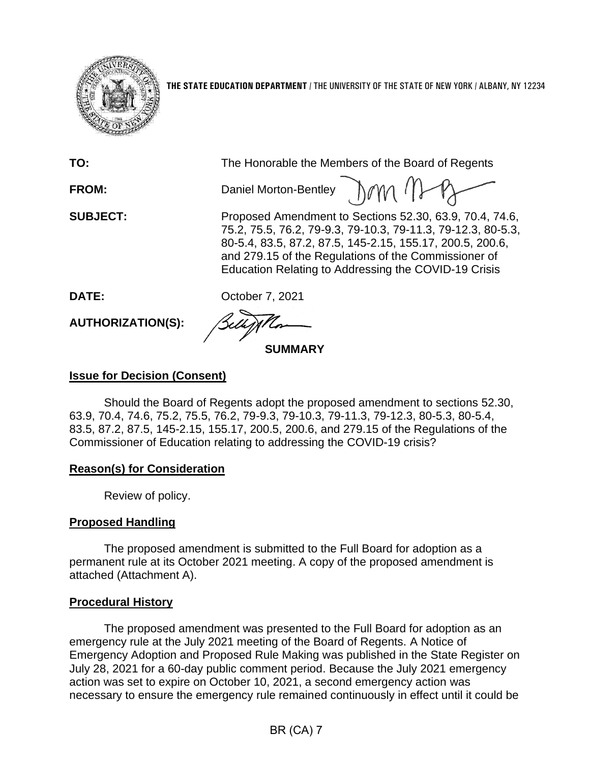

**THE STATE EDUCATION DEPARTMENT** / THE UNIVERSITY OF THE STATE OF NEW YORK / ALBANY, NY 12234

| TO:                      | The Honorable the Members of the Board of Regents                                                                                                                                                                                                                                                    |
|--------------------------|------------------------------------------------------------------------------------------------------------------------------------------------------------------------------------------------------------------------------------------------------------------------------------------------------|
| <b>FROM:</b>             | Daniel Morton-Bentley 10M (1)                                                                                                                                                                                                                                                                        |
| <b>SUBJECT:</b>          | Proposed Amendment to Sections 52.30, 63.9, 70.4, 74.6,<br>75.2, 75.5, 76.2, 79-9.3, 79-10.3, 79-11.3, 79-12.3, 80-5.3,<br>80-5.4, 83.5, 87.2, 87.5, 145-2.15, 155.17, 200.5, 200.6,<br>and 279.15 of the Regulations of the Commissioner of<br>Education Relating to Addressing the COVID-19 Crisis |
| DATE:                    | October 7, 2021                                                                                                                                                                                                                                                                                      |
| <b>AUTHORIZATION(S):</b> |                                                                                                                                                                                                                                                                                                      |
| <b>SUMMAR)</b>           |                                                                                                                                                                                                                                                                                                      |

# **Issue for Decision (Consent)**

Should the Board of Regents adopt the proposed amendment to sections 52.30, 63.9, 70.4, 74.6, 75.2, 75.5, 76.2, 79-9.3, 79-10.3, 79-11.3, 79-12.3, 80-5.3, 80-5.4, 83.5, 87.2, 87.5, 145-2.15, 155.17, 200.5, 200.6, and 279.15 of the Regulations of the Commissioner of Education relating to addressing the COVID-19 crisis?

## **Reason(s) for Consideration**

Review of policy.

# **Proposed Handling**

The proposed amendment is submitted to the Full Board for adoption as a permanent rule at its October 2021 meeting. A copy of the proposed amendment is attached (Attachment A).

## **Procedural History**

The proposed amendment was presented to the Full Board for adoption as an emergency rule at the July 2021 meeting of the Board of Regents. A Notice of Emergency Adoption and Proposed Rule Making was published in the State Register on July 28, 2021 for a 60-day public comment period. Because the July 2021 emergency action was set to expire on October 10, 2021, a second emergency action was necessary to ensure the emergency rule remained continuously in effect until it could be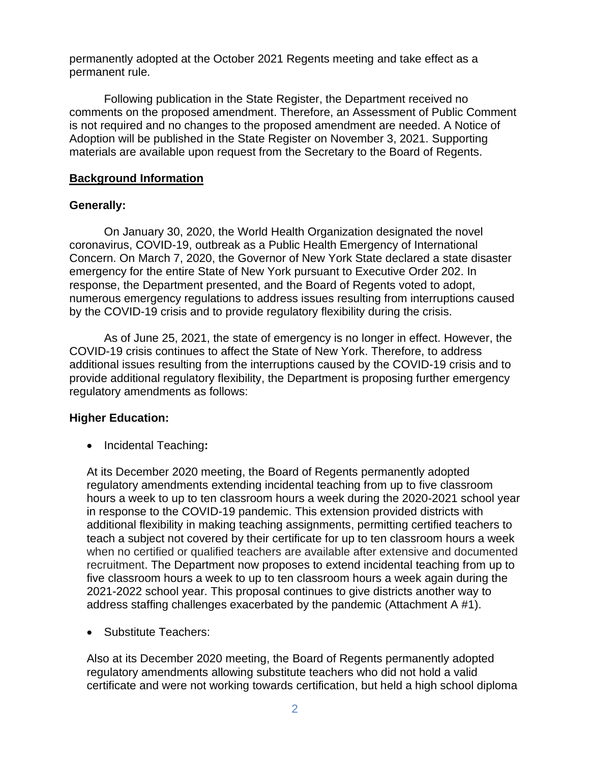permanently adopted at the October 2021 Regents meeting and take effect as a permanent rule.

Following publication in the State Register, the Department received no comments on the proposed amendment. Therefore, an Assessment of Public Comment is not required and no changes to the proposed amendment are needed. A Notice of Adoption will be published in the State Register on November 3, 2021. Supporting materials are available upon request from the Secretary to the Board of Regents.

### **Background Information**

### **Generally:**

On January 30, 2020, the World Health Organization designated the novel coronavirus, COVID-19, outbreak as a Public Health Emergency of International Concern. On March 7, 2020, the Governor of New York State declared a state disaster emergency for the entire State of New York pursuant to Executive Order 202. In response, the Department presented, and the Board of Regents voted to adopt, numerous emergency regulations to address issues resulting from interruptions caused by the COVID-19 crisis and to provide regulatory flexibility during the crisis.

As of June 25, 2021, the state of emergency is no longer in effect. However, the COVID-19 crisis continues to affect the State of New York. Therefore, to address additional issues resulting from the interruptions caused by the COVID-19 crisis and to provide additional regulatory flexibility, the Department is proposing further emergency regulatory amendments as follows:

#### **Higher Education:**

• Incidental Teaching**:**

At its December 2020 meeting, the Board of Regents permanently adopted regulatory amendments extending incidental teaching from up to five classroom hours a week to up to ten classroom hours a week during the 2020-2021 school year in response to the COVID-19 pandemic. This extension provided districts with additional flexibility in making teaching assignments, permitting certified teachers to teach a subject not covered by their certificate for up to ten classroom hours a week when no certified or qualified teachers are available after extensive and documented recruitment. The Department now proposes to extend incidental teaching from up to five classroom hours a week to up to ten classroom hours a week again during the 2021-2022 school year. This proposal continues to give districts another way to address staffing challenges exacerbated by the pandemic (Attachment A #1).

• Substitute Teachers:

Also at its December 2020 meeting, the Board of Regents permanently adopted regulatory amendments allowing substitute teachers who did not hold a valid certificate and were not working towards certification, but held a high school diploma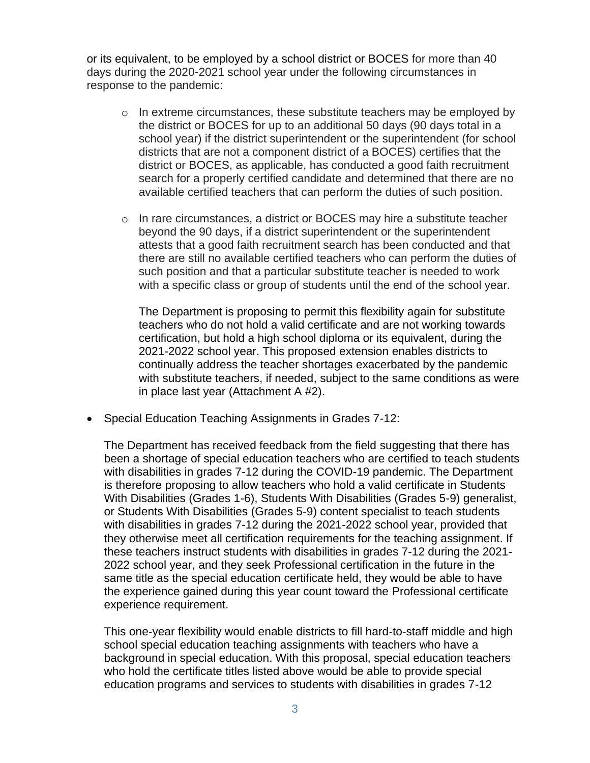or its equivalent, to be employed by a school district or BOCES for more than 40 days during the 2020-2021 school year under the following circumstances in response to the pandemic:

- $\circ$  In extreme circumstances, these substitute teachers may be employed by the district or BOCES for up to an additional 50 days (90 days total in a school year) if the district superintendent or the superintendent (for school districts that are not a component district of a BOCES) certifies that the district or BOCES, as applicable, has conducted a good faith recruitment search for a properly certified candidate and determined that there are no available certified teachers that can perform the duties of such position.
- o In rare circumstances, a district or BOCES may hire a substitute teacher beyond the 90 days, if a district superintendent or the superintendent attests that a good faith recruitment search has been conducted and that there are still no available certified teachers who can perform the duties of such position and that a particular substitute teacher is needed to work with a specific class or group of students until the end of the school year.

The Department is proposing to permit this flexibility again for substitute teachers who do not hold a valid certificate and are not working towards certification, but hold a high school diploma or its equivalent, during the 2021-2022 school year. This proposed extension enables districts to continually address the teacher shortages exacerbated by the pandemic with substitute teachers, if needed, subject to the same conditions as were in place last year (Attachment A #2).

• Special Education Teaching Assignments in Grades 7-12:

The Department has received feedback from the field suggesting that there has been a shortage of special education teachers who are certified to teach students with disabilities in grades 7-12 during the COVID-19 pandemic. The Department is therefore proposing to allow teachers who hold a valid certificate in Students With Disabilities (Grades 1-6), Students With Disabilities (Grades 5-9) generalist, or Students With Disabilities (Grades 5-9) content specialist to teach students with disabilities in grades 7-12 during the 2021-2022 school year, provided that they otherwise meet all certification requirements for the teaching assignment. If these teachers instruct students with disabilities in grades 7-12 during the 2021- 2022 school year, and they seek Professional certification in the future in the same title as the special education certificate held, they would be able to have the experience gained during this year count toward the Professional certificate experience requirement.

This one-year flexibility would enable districts to fill hard-to-staff middle and high school special education teaching assignments with teachers who have a background in special education. With this proposal, special education teachers who hold the certificate titles listed above would be able to provide special education programs and services to students with disabilities in grades 7-12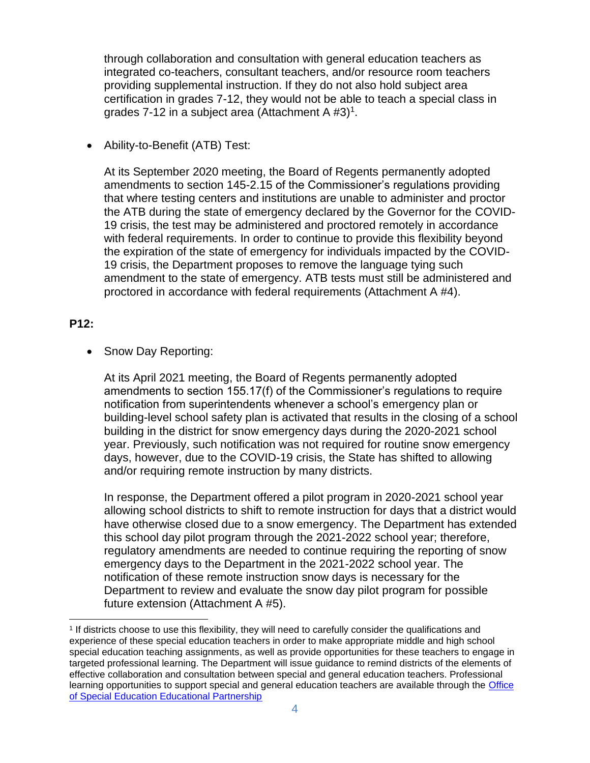through collaboration and consultation with general education teachers as integrated co-teachers, consultant teachers, and/or resource room teachers providing supplemental instruction. If they do not also hold subject area certification in grades 7-12, they would not be able to teach a special class in grades 7-12 in a subject area (Attachment A  $#3$ )<sup>1</sup>.

• Ability-to-Benefit (ATB) Test:

At its September 2020 meeting, the Board of Regents permanently adopted amendments to section 145-2.15 of the Commissioner's regulations providing that where testing centers and institutions are unable to administer and proctor the ATB during the state of emergency declared by the Governor for the COVID-19 crisis, the test may be administered and proctored remotely in accordance with federal requirements. In order to continue to provide this flexibility beyond the expiration of the state of emergency for individuals impacted by the COVID-19 crisis, the Department proposes to remove the language tying such amendment to the state of emergency. ATB tests must still be administered and proctored in accordance with federal requirements (Attachment A #4).

## **P12:**

• Snow Day Reporting:

At its April 2021 meeting, the Board of Regents permanently adopted amendments to section 155.17(f) of the Commissioner's regulations to require notification from superintendents whenever a school's emergency plan or building-level school safety plan is activated that results in the closing of a school building in the district for snow emergency days during the 2020-2021 school year. Previously, such notification was not required for routine snow emergency days, however, due to the COVID-19 crisis, the State has shifted to allowing and/or requiring remote instruction by many districts.

In response, the Department offered a pilot program in 2020-2021 school year allowing school districts to shift to remote instruction for days that a district would have otherwise closed due to a snow emergency. The Department has extended this school day pilot program through the 2021-2022 school year; therefore, regulatory amendments are needed to continue requiring the reporting of snow emergency days to the Department in the 2021-2022 school year. The notification of these remote instruction snow days is necessary for the Department to review and evaluate the snow day pilot program for possible future extension (Attachment A #5).

<sup>1</sup> If districts choose to use this flexibility, they will need to carefully consider the qualifications and experience of these special education teachers in order to make appropriate middle and high school special education teaching assignments, as well as provide opportunities for these teachers to engage in targeted professional learning. The Department will issue guidance to remind districts of the elements of effective collaboration and consultation between special and general education teachers. Professional learning opportunities to support special and general education teachers are available through the [Office](http://www.p12.nysed.gov/specialed/techassist/ed-partnership/home.html)  [of Special Education Educational Partnership](http://www.p12.nysed.gov/specialed/techassist/ed-partnership/home.html)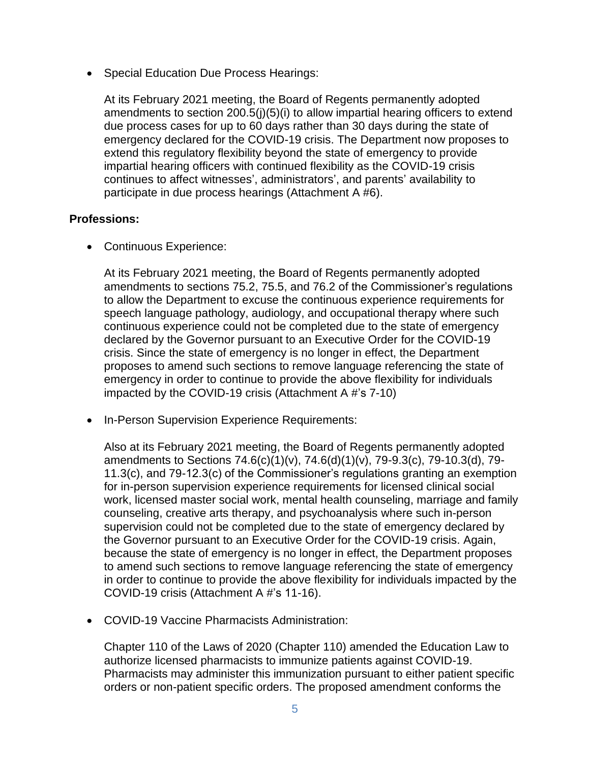• Special Education Due Process Hearings:

At its February 2021 meeting, the Board of Regents permanently adopted amendments to section 200.5(j)(5)(i) to allow impartial hearing officers to extend due process cases for up to 60 days rather than 30 days during the state of emergency declared for the COVID-19 crisis. The Department now proposes to extend this regulatory flexibility beyond the state of emergency to provide impartial hearing officers with continued flexibility as the COVID-19 crisis continues to affect witnesses', administrators', and parents' availability to participate in due process hearings (Attachment A #6).

## **Professions:**

• Continuous Experience:

At its February 2021 meeting, the Board of Regents permanently adopted amendments to sections 75.2, 75.5, and 76.2 of the Commissioner's regulations to allow the Department to excuse the continuous experience requirements for speech language pathology, audiology, and occupational therapy where such continuous experience could not be completed due to the state of emergency declared by the Governor pursuant to an Executive Order for the COVID-19 crisis. Since the state of emergency is no longer in effect, the Department proposes to amend such sections to remove language referencing the state of emergency in order to continue to provide the above flexibility for individuals impacted by the COVID-19 crisis (Attachment A #'s 7-10)

• In-Person Supervision Experience Requirements:

Also at its February 2021 meeting, the Board of Regents permanently adopted amendments to Sections 74.6(c)(1)(v), 74.6(d)(1)(v), 79-9.3(c), 79-10.3(d), 79- 11.3(c), and 79-12.3(c) of the Commissioner's regulations granting an exemption for in-person supervision experience requirements for licensed clinical social work, licensed master social work, mental health counseling, marriage and family counseling, creative arts therapy, and psychoanalysis where such in-person supervision could not be completed due to the state of emergency declared by the Governor pursuant to an Executive Order for the COVID-19 crisis. Again, because the state of emergency is no longer in effect, the Department proposes to amend such sections to remove language referencing the state of emergency in order to continue to provide the above flexibility for individuals impacted by the COVID-19 crisis (Attachment A #'s 11-16).

• COVID-19 Vaccine Pharmacists Administration:

Chapter 110 of the Laws of 2020 (Chapter 110) amended the Education Law to authorize licensed pharmacists to immunize patients against COVID-19. Pharmacists may administer this immunization pursuant to either patient specific orders or non-patient specific orders. The proposed amendment conforms the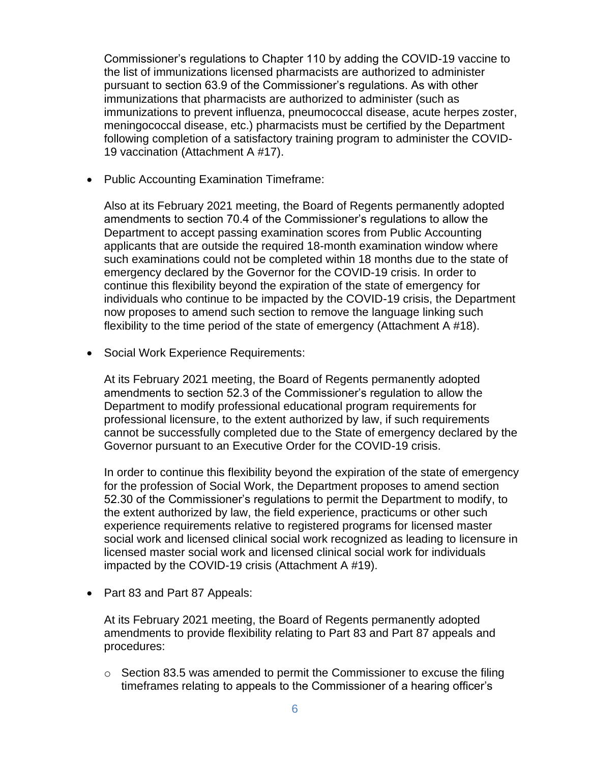Commissioner's regulations to Chapter 110 by adding the COVID-19 vaccine to the list of immunizations licensed pharmacists are authorized to administer pursuant to section 63.9 of the Commissioner's regulations. As with other immunizations that pharmacists are authorized to administer (such as immunizations to prevent influenza, pneumococcal disease, acute herpes zoster, meningococcal disease, etc.) pharmacists must be certified by the Department following completion of a satisfactory training program to administer the COVID-19 vaccination (Attachment A #17).

• Public Accounting Examination Timeframe:

Also at its February 2021 meeting, the Board of Regents permanently adopted amendments to section 70.4 of the Commissioner's regulations to allow the Department to accept passing examination scores from Public Accounting applicants that are outside the required 18-month examination window where such examinations could not be completed within 18 months due to the state of emergency declared by the Governor for the COVID-19 crisis. In order to continue this flexibility beyond the expiration of the state of emergency for individuals who continue to be impacted by the COVID-19 crisis, the Department now proposes to amend such section to remove the language linking such flexibility to the time period of the state of emergency (Attachment A #18).

• Social Work Experience Requirements:

At its February 2021 meeting, the Board of Regents permanently adopted amendments to section 52.3 of the Commissioner's regulation to allow the Department to modify professional educational program requirements for professional licensure, to the extent authorized by law, if such requirements cannot be successfully completed due to the State of emergency declared by the Governor pursuant to an Executive Order for the COVID-19 crisis.

In order to continue this flexibility beyond the expiration of the state of emergency for the profession of Social Work, the Department proposes to amend section 52.30 of the Commissioner's regulations to permit the Department to modify, to the extent authorized by law, the field experience, practicums or other such experience requirements relative to registered programs for licensed master social work and licensed clinical social work recognized as leading to licensure in licensed master social work and licensed clinical social work for individuals impacted by the COVID-19 crisis (Attachment A #19).

• Part 83 and Part 87 Appeals:

At its February 2021 meeting, the Board of Regents permanently adopted amendments to provide flexibility relating to Part 83 and Part 87 appeals and procedures:

o Section 83.5 was amended to permit the Commissioner to excuse the filing timeframes relating to appeals to the Commissioner of a hearing officer's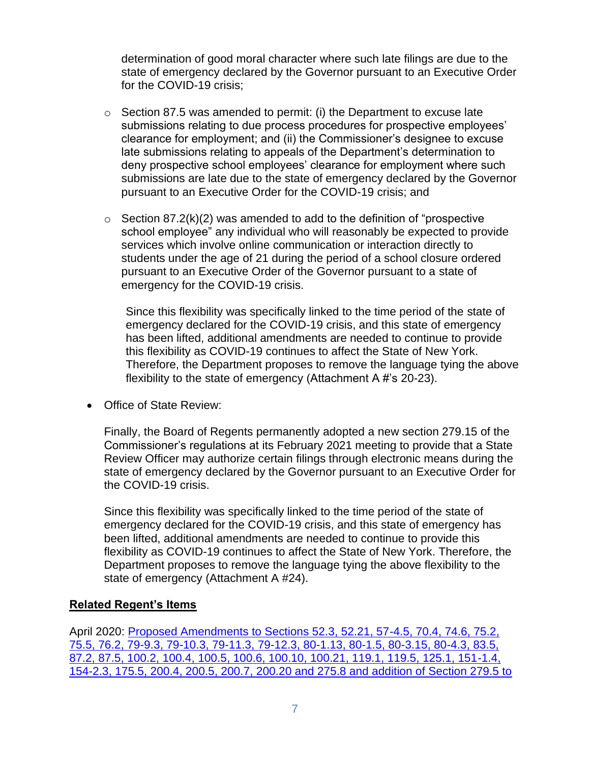determination of good moral character where such late filings are due to the state of emergency declared by the Governor pursuant to an Executive Order for the COVID-19 crisis;

- $\circ$  Section 87.5 was amended to permit: (i) the Department to excuse late submissions relating to due process procedures for prospective employees' clearance for employment; and (ii) the Commissioner's designee to excuse late submissions relating to appeals of the Department's determination to deny prospective school employees' clearance for employment where such submissions are late due to the state of emergency declared by the Governor pursuant to an Executive Order for the COVID-19 crisis; and
- $\circ$  Section 87.2(k)(2) was amended to add to the definition of "prospective" school employee" any individual who will reasonably be expected to provide services which involve online communication or interaction directly to students under the age of 21 during the period of a school closure ordered pursuant to an Executive Order of the Governor pursuant to a state of emergency for the COVID-19 crisis.

Since this flexibility was specifically linked to the time period of the state of emergency declared for the COVID-19 crisis, and this state of emergency has been lifted, additional amendments are needed to continue to provide this flexibility as COVID-19 continues to affect the State of New York. Therefore, the Department proposes to remove the language tying the above flexibility to the state of emergency (Attachment A #'s 20-23).

• Office of State Review:

Finally, the Board of Regents permanently adopted a new section 279.15 of the Commissioner's regulations at its February 2021 meeting to provide that a State Review Officer may authorize certain filings through electronic means during the state of emergency declared by the Governor pursuant to an Executive Order for the COVID-19 crisis.

Since this flexibility was specifically linked to the time period of the state of emergency declared for the COVID-19 crisis, and this state of emergency has been lifted, additional amendments are needed to continue to provide this flexibility as COVID-19 continues to affect the State of New York. Therefore, the Department proposes to remove the language tying the above flexibility to the state of emergency (Attachment A #24).

#### **Related Regent's Items**

April 2020: [Proposed Amendments to Sections 52.3, 52.21, 57-4.5, 70.4, 74.6, 75.2,](https://www.regents.nysed.gov/common/regents/files/420bra6.pdf)  [75.5, 76.2, 79-9.3, 79-10.3, 79-11.3, 79-12.3, 80-1.13, 80-1.5, 80-3.15, 80-4.3, 83.5,](https://www.regents.nysed.gov/common/regents/files/420bra6.pdf)  [87.2, 87.5, 100.2, 100.4, 100.5, 100.6, 100.10, 100.21, 119.1, 119.5, 125.1, 151-1.4,](https://www.regents.nysed.gov/common/regents/files/420bra6.pdf)  [154-2.3, 175.5, 200.4, 200.5, 200.7, 200.20 and 275.8 and addition of Section 279.5 to](https://www.regents.nysed.gov/common/regents/files/420bra6.pdf)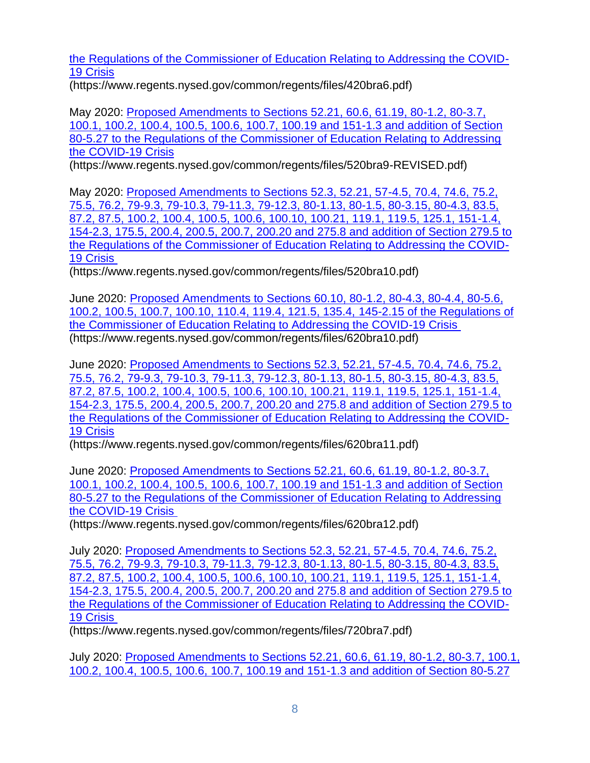[the Regulations of the Commissioner of Education Relating to Addressing the COVID-](https://www.regents.nysed.gov/common/regents/files/420bra6.pdf)[19 Crisis](https://www.regents.nysed.gov/common/regents/files/420bra6.pdf)

(https://www.regents.nysed.gov/common/regents/files/420bra6.pdf)

May 2020: [Proposed Amendments to Sections 52.21, 60.6, 61.19, 80-1.2, 80-3.7,](https://www.regents.nysed.gov/common/regents/files/520bra9-REVISED.pdf)  [100.1, 100.2, 100.4, 100.5, 100.6, 100.7, 100.19 and 151-1.3 and addition of Section](https://www.regents.nysed.gov/common/regents/files/520bra9-REVISED.pdf)  [80-5.27 to the Regulations of the Commissioner of Education Relating to Addressing](https://www.regents.nysed.gov/common/regents/files/520bra9-REVISED.pdf)  [the COVID-19 Crisis](https://www.regents.nysed.gov/common/regents/files/520bra9-REVISED.pdf)

(https://www.regents.nysed.gov/common/regents/files/520bra9-REVISED.pdf)

May 2020: [Proposed Amendments to Sections 52.3, 52.21, 57-4.5, 70.4, 74.6, 75.2,](https://www.regents.nysed.gov/common/regents/files/520bra10.pdf)  [75.5, 76.2, 79-9.3, 79-10.3, 79-11.3, 79-12.3, 80-1.13, 80-1.5, 80-3.15, 80-4.3, 83.5,](https://www.regents.nysed.gov/common/regents/files/520bra10.pdf)  87.2, 87.5, 100.2, 100.4, 100.5, 100.6, [100.10, 100.21, 119.1, 119.5, 125.1, 151-1.4,](https://www.regents.nysed.gov/common/regents/files/520bra10.pdf)  [154-2.3, 175.5, 200.4, 200.5, 200.7, 200.20 and 275.8 and addition of Section 279.5 to](https://www.regents.nysed.gov/common/regents/files/520bra10.pdf)  [the Regulations of the Commissioner of Education Relating to Addressing the COVID-](https://www.regents.nysed.gov/common/regents/files/520bra10.pdf)[19 Crisis](https://www.regents.nysed.gov/common/regents/files/520bra10.pdf)

(https://www.regents.nysed.gov/common/regents/files/520bra10.pdf)

June 2020: [Proposed Amendments to Sections 60.10, 80-1.2, 80-4.3, 80-4.4, 80-5.6,](https://www.regents.nysed.gov/common/regents/files/620bra10.pdf)  [100.2, 100.5, 100.7, 100.10, 110.4, 119.4, 121.5, 135.4,](https://www.regents.nysed.gov/common/regents/files/620bra10.pdf) 145-2.15 of the Regulations of [the Commissioner of Education Relating to Addressing the COVID-19 Crisis](https://www.regents.nysed.gov/common/regents/files/620bra10.pdf) (https://www.regents.nysed.gov/common/regents/files/620bra10.pdf)

June 2020: [Proposed Amendments to Sections 52.3, 52.21, 57-4.5, 70.4, 74.6, 75.2,](https://www.regents.nysed.gov/common/regents/files/620bra11.pdf)  [75.5, 76.2, 79-9.3, 79-10.3, 79-11.3, 79-12.3, 80-1.13, 80-1.5, 80-3.15, 80-4.3, 83.5,](https://www.regents.nysed.gov/common/regents/files/620bra11.pdf)  [87.2, 87.5, 100.2, 100.4, 100.5, 100.6, 100.10, 100.21, 119.1, 119.5, 125.1, 151-1.4,](https://www.regents.nysed.gov/common/regents/files/620bra11.pdf)  [154-2.3, 175.5, 200.4, 200.5, 200.7, 200.20 and 275.8 and addition of Section 279.5 to](https://www.regents.nysed.gov/common/regents/files/620bra11.pdf)  [the Regulations of the Commissioner of Education Relating to Addressing the COVID-](https://www.regents.nysed.gov/common/regents/files/620bra11.pdf)[19 Crisis](https://www.regents.nysed.gov/common/regents/files/620bra11.pdf)

(https://www.regents.nysed.gov/common/regents/files/620bra11.pdf)

June 2020: [Proposed Amendments to Sections 52.21, 60.6, 61.19, 80-1.2, 80-3.7,](https://www.regents.nysed.gov/common/regents/files/620bra12.pdf)  [100.1, 100.2, 100.4, 100.5, 100.6, 100.7, 100.19 and 151-1.3 and addition of Section](https://www.regents.nysed.gov/common/regents/files/620bra12.pdf)  80-5.27 to the Regulations [of the Commissioner of Education Relating to Addressing](https://www.regents.nysed.gov/common/regents/files/620bra12.pdf)  [the COVID-19 Crisis](https://www.regents.nysed.gov/common/regents/files/620bra12.pdf)

(https://www.regents.nysed.gov/common/regents/files/620bra12.pdf)

July 2020: [Proposed Amendments to Sections 52.3, 52.21, 57-4.5, 70.4, 74.6, 75.2,](https://www.regents.nysed.gov/common/regents/files/720bra7.pdf)  [75.5, 76.2, 79-9.3, 79-10.3, 79-11.3, 79-12.3, 80-1.13, 80-1.5, 80-3.15, 80-4.3, 83.5,](https://www.regents.nysed.gov/common/regents/files/720bra7.pdf)  [87.2, 87.5, 100.2, 100.4, 100.5, 100.6, 100.10, 100.21, 119.1, 119.5, 125.1, 151-1.4,](https://www.regents.nysed.gov/common/regents/files/720bra7.pdf)  [154-2.3, 175.5, 200.4, 200.5, 200.7, 200.20 and 275.8 and addition of Section 279.5 to](https://www.regents.nysed.gov/common/regents/files/720bra7.pdf)  [the Regulations of the Commissioner of Education Relating to Addressing the COVID-](https://www.regents.nysed.gov/common/regents/files/720bra7.pdf)[19 Crisis](https://www.regents.nysed.gov/common/regents/files/720bra7.pdf)

(https://www.regents.nysed.gov/common/regents/files/720bra7.pdf)

July 2020: [Proposed Amendments to Sections 52.21, 60.6, 61.19, 80-1.2, 80-3.7, 100.1,](https://www.regents.nysed.gov/common/regents/files/720bra5.pdf)  100.2, 100.4, 100.5, 100.6, [100.7, 100.19 and 151-1.3 and addition of Section 80-5.27](https://www.regents.nysed.gov/common/regents/files/720bra5.pdf)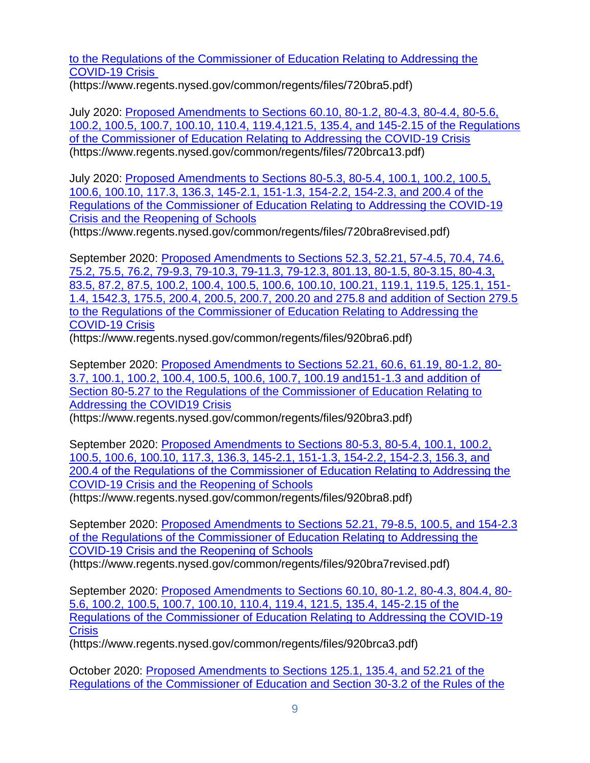[to the Regulations of the Commissioner of Education Relating to Addressing the](https://www.regents.nysed.gov/common/regents/files/720bra5.pdf)  [COVID-19 Crisis](https://www.regents.nysed.gov/common/regents/files/720bra5.pdf)

[\(https://www.regents.nysed.gov/common/regents/files/720bra5.pdf\)](https://www.regents.nysed.gov/common/regents/files/720bra5.pdf)

July 2020: [Proposed Amendments to Sections 60.10, 80-1.2, 80-4.3, 80-4.4, 80-5.6,](https://www.regents.nysed.gov/common/regents/files/720brca13.pdf)  [100.2, 100.5, 100.7, 100.10, 110.4, 119.4,121.5, 135.4, and 145-2.15 of the Regulations](https://www.regents.nysed.gov/common/regents/files/720brca13.pdf)  [of the Commissioner of Education Relating to Addressing the COVID-19 Crisis](https://www.regents.nysed.gov/common/regents/files/720brca13.pdf) [\(https://www.regents.nysed.gov/common/regents/files/720brca13.pdf\)](https://www.regents.nysed.gov/common/regents/files/720brca13.pdf)

July 2020: [Proposed Amendments to Sections 80-5.3, 80-5.4, 100.1, 100.2, 100.5,](https://www.regents.nysed.gov/common/regents/files/720bra8revised.pdf)  [100.6, 100.10, 117.3, 136.3, 145-2.1, 151-1.3, 154-2.2, 154-2.3, and 200.4 of the](https://www.regents.nysed.gov/common/regents/files/720bra8revised.pdf)  [Regulations of the Commissioner of Education Relating to Addressing the COVID-19](https://www.regents.nysed.gov/common/regents/files/720bra8revised.pdf)  [Crisis and the Reopening of Schools](https://www.regents.nysed.gov/common/regents/files/720bra8revised.pdf)

[\(https://www.regents.nysed.gov/common/regents/files/720bra8revised.pdf\)](https://www.regents.nysed.gov/common/regents/files/720bra8revised.pdf)

September 2020: [Proposed Amendments to Sections 52.3, 52.21, 57-4.5, 70.4, 74.6,](https://www.regents.nysed.gov/common/regents/files/920bra6.pdf)  [75.2, 75.5, 76.2, 79-9.3, 79-10.3, 79-11.3, 79-12.3, 801.13, 80-1.5, 80-3.15, 80-4.3,](https://www.regents.nysed.gov/common/regents/files/920bra6.pdf)  [83.5, 87.2, 87.5, 100.2, 100.4, 100.5, 100.6, 100.10, 100.21, 119.1, 119.5, 125.1, 151-](https://www.regents.nysed.gov/common/regents/files/920bra6.pdf) [1.4, 1542.3, 175.5, 200.4, 200.5, 200.7, 200.20 and 275.8 and addition of Section 279.5](https://www.regents.nysed.gov/common/regents/files/920bra6.pdf)  [to the Regulations of the Commissioner of Education Relating to Addressing the](https://www.regents.nysed.gov/common/regents/files/920bra6.pdf)  [COVID-19 Crisis](https://www.regents.nysed.gov/common/regents/files/920bra6.pdf)

(https://www.regents.nysed.gov/common/regents/files/920bra6.pdf)

September 2020: [Proposed Amendments to Sections 52.21, 60.6, 61.19, 80-1.2, 80-](https://www.regents.nysed.gov/common/regents/files/920bra3.pdf) [3.7, 100.1, 100.2, 100.4, 100.5, 100.6, 100.7, 100.19 and151-1.3 and addition of](https://www.regents.nysed.gov/common/regents/files/920bra3.pdf)  [Section 80-5.27 to the Regulations of the Commissioner of Education Relating to](https://www.regents.nysed.gov/common/regents/files/920bra3.pdf)  [Addressing the COVID19 Crisis](https://www.regents.nysed.gov/common/regents/files/920bra3.pdf)

(https://www.regents.nysed.gov/common/regents/files/920bra3.pdf)

September 2020: [Proposed Amendments to Sections 80-5.3, 80-5.4, 100.1, 100.2,](https://www.regents.nysed.gov/common/regents/files/920bra8.pdf)  [100.5, 100.6, 100.10, 117.3, 136.3, 145-2.1, 151-1.3, 154-2.2, 154-2.3, 156.3, and](https://www.regents.nysed.gov/common/regents/files/920bra8.pdf)  [200.4 of the Regulations of the Commissioner of Education Relating to Addressing the](https://www.regents.nysed.gov/common/regents/files/920bra8.pdf)  [COVID-19 Crisis and the Reopening of Schools](https://www.regents.nysed.gov/common/regents/files/920bra8.pdf)

(https://www.regents.nysed.gov/common/regents/files/920bra8.pdf)

September 2020: [Proposed Amendments to Sections 52.21, 79-8.5, 100.5, and 154-2.3](https://www.regents.nysed.gov/common/regents/files/920bra7revised.pdf)  [of the Regulations of the Commissioner of Education Relating to Addressing the](https://www.regents.nysed.gov/common/regents/files/920bra7revised.pdf)  [COVID-19 Crisis and the Reopening of Schools](https://www.regents.nysed.gov/common/regents/files/920bra7revised.pdf) (https://www.regents.nysed.gov/common/regents/files/920bra7revised.pdf)

September 2020: [Proposed Amendments to Sections 60.10, 80-1.2, 80-4.3, 804.4, 80-](https://www.regents.nysed.gov/common/regents/files/920brca3.pdf) [5.6, 100.2, 100.5, 100.7, 100.10, 110.4, 119.4, 121.5, 135.4, 145-2.15 of the](https://www.regents.nysed.gov/common/regents/files/920brca3.pdf)  [Regulations of the Commissioner of Education Relating to Addressing the COVID-19](https://www.regents.nysed.gov/common/regents/files/920brca3.pdf)  **[Crisis](https://www.regents.nysed.gov/common/regents/files/920brca3.pdf)** 

(https://www.regents.nysed.gov/common/regents/files/920brca3.pdf)

October 2020: [Proposed Amendments to Sections 125.1, 135.4, and 52.21 of the](https://www.regents.nysed.gov/common/regents/files/1020bra3.pdf)  [Regulations of the Commissioner of Education and Section 30-3.2 of the Rules of the](https://www.regents.nysed.gov/common/regents/files/1020bra3.pdf)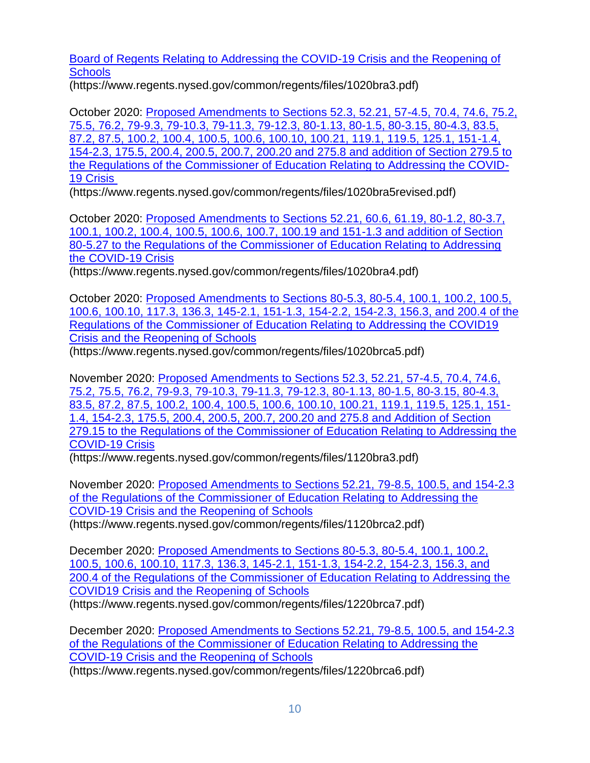[Board of Regents Relating to Addressing the COVID-19 Crisis and the Reopening of](https://www.regents.nysed.gov/common/regents/files/1020bra3.pdf)  **[Schools](https://www.regents.nysed.gov/common/regents/files/1020bra3.pdf)** 

(https://www.regents.nysed.gov/common/regents/files/1020bra3.pdf)

October 2020: [Proposed Amendments to Sections 52.3, 52.21, 57-4.5, 70.4, 74.6, 75.2,](https://www.regents.nysed.gov/common/regents/files/1020bra5revised.pdf)  [75.5, 76.2, 79-9.3, 79-10.3, 79-11.3, 79-12.3, 80-1.13, 80-1.5, 80-3.15, 80-4.3, 83.5,](https://www.regents.nysed.gov/common/regents/files/1020bra5revised.pdf)  [87.2, 87.5, 100.2, 100.4, 100.5, 100.6, 100.10, 100.21, 119.1, 119.5, 125.1, 151-1.4,](https://www.regents.nysed.gov/common/regents/files/1020bra5revised.pdf)  [154-2.3, 175.5, 200.4, 200.5, 200.7, 200.20 and 275.8 and addition of Section 279.5 to](https://www.regents.nysed.gov/common/regents/files/1020bra5revised.pdf)  [the Regulations of the Commissioner of Education Relating to Addressing the COVID-](https://www.regents.nysed.gov/common/regents/files/1020bra5revised.pdf)[19 Crisis](https://www.regents.nysed.gov/common/regents/files/1020bra5revised.pdf)

(https://www.regents.nysed.gov/common/regents/files/1020bra5revised.pdf)

October 2020: Proposed [Amendments to Sections 52.21, 60.6, 61.19, 80-1.2, 80-3.7,](https://www.regents.nysed.gov/common/regents/files/1020bra4.pdf)  [100.1, 100.2, 100.4, 100.5, 100.6, 100.7, 100.19 and 151-1.3 and addition of Section](https://www.regents.nysed.gov/common/regents/files/1020bra4.pdf)  [80-5.27 to the Regulations of the Commissioner of Education Relating to Addressing](https://www.regents.nysed.gov/common/regents/files/1020bra4.pdf)  [the COVID-19 Crisis](https://www.regents.nysed.gov/common/regents/files/1020bra4.pdf)

(https://www.regents.nysed.gov/common/regents/files/1020bra4.pdf)

October 2020: [Proposed Amendments to Sections 80-5.3, 80-5.4, 100.1, 100.2, 100.5,](https://www.regents.nysed.gov/common/regents/files/1020brca5.pdf)  [100.6, 100.10, 117.3, 136.3, 145-2.1, 151-1.3, 154-2.2, 154-2.3, 156.3, and 200.4 of the](https://www.regents.nysed.gov/common/regents/files/1020brca5.pdf)  [Regulations of the Commissioner of Education Relating to Addressing the COVID19](https://www.regents.nysed.gov/common/regents/files/1020brca5.pdf)  [Crisis and the Reopening of Schools](https://www.regents.nysed.gov/common/regents/files/1020brca5.pdf)

(https://www.regents.nysed.gov/common/regents/files/1020brca5.pdf)

November 2020: [Proposed Amendments to Sections 52.3, 52.21, 57-4.5, 70.4, 74.6,](https://www.regents.nysed.gov/common/regents/files/1120bra3.pdf)  [75.2, 75.5, 76.2, 79-9.3, 79-10.3, 79-11.3, 79-12.3, 80-1.13, 80-1.5, 80-3.15, 80-4.3,](https://www.regents.nysed.gov/common/regents/files/1120bra3.pdf)  [83.5, 87.2, 87.5, 100.2, 100.4, 100.5, 100.6, 100.10, 100.21, 119.1, 119.5, 125.1, 151-](https://www.regents.nysed.gov/common/regents/files/1120bra3.pdf) [1.4, 154-2.3, 175.5, 200.4, 200.5, 200.7, 200.20 and 275.8 and Addition of Section](https://www.regents.nysed.gov/common/regents/files/1120bra3.pdf)  [279.15 to the Regulations of the Commissioner of Education Relating to Addressing the](https://www.regents.nysed.gov/common/regents/files/1120bra3.pdf)  [COVID-19 Crisis](https://www.regents.nysed.gov/common/regents/files/1120bra3.pdf)

(https://www.regents.nysed.gov/common/regents/files/1120bra3.pdf)

November 2020: [Proposed Amendments to Sections 52.21, 79-8.5, 100.5, and 154-2.3](https://www.regents.nysed.gov/common/regents/files/1120brca2.pdf)  [of the Regulations of the Commissioner of Education Relating to Addressing the](https://www.regents.nysed.gov/common/regents/files/1120brca2.pdf)  [COVID-19 Crisis and the Reopening of Schools](https://www.regents.nysed.gov/common/regents/files/1120brca2.pdf)

(https://www.regents.nysed.gov/common/regents/files/1120brca2.pdf)

December 2020: [Proposed Amendments to Sections 80-5.3, 80-5.4, 100.1, 100.2,](https://www.regents.nysed.gov/common/regents/files/1220brca7.pdf)  [100.5, 100.6, 100.10, 117.3, 136.3, 145-2.1, 151-1.3, 154-2.2, 154-2.3, 156.3, and](https://www.regents.nysed.gov/common/regents/files/1220brca7.pdf)  [200.4 of the Regulations of the Commissioner of Education Relating to Addressing the](https://www.regents.nysed.gov/common/regents/files/1220brca7.pdf)  [COVID19 Crisis and the Reopening of Schools](https://www.regents.nysed.gov/common/regents/files/1220brca7.pdf)

(https://www.regents.nysed.gov/common/regents/files/1220brca7.pdf)

December 2020: [Proposed Amendments to Sections 52.21, 79-8.5, 100.5, and 154-2.3](https://www.regents.nysed.gov/common/regents/files/1220brca6.pdf)  [of the Regulations of the Commissioner of Education Relating to Addressing the](https://www.regents.nysed.gov/common/regents/files/1220brca6.pdf)  [COVID-19 Crisis and the Reopening of Schools](https://www.regents.nysed.gov/common/regents/files/1220brca6.pdf)

(https://www.regents.nysed.gov/common/regents/files/1220brca6.pdf)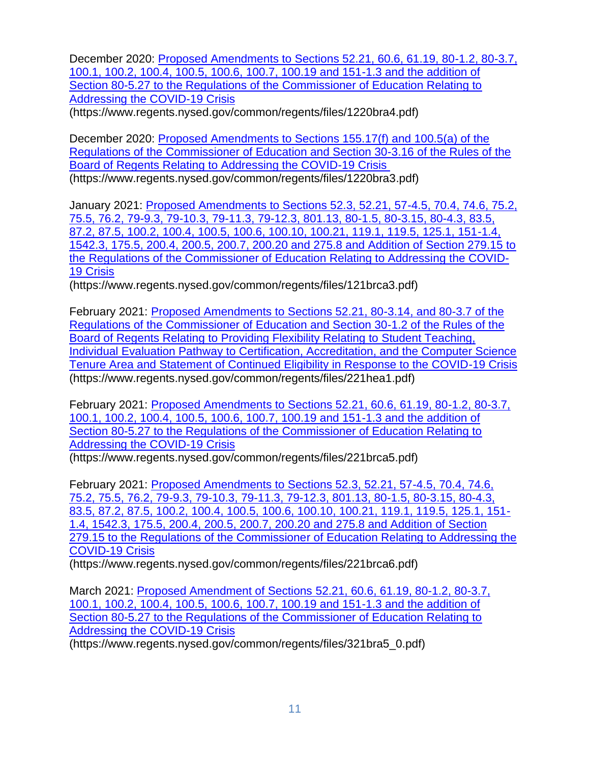December 2020: [Proposed Amendments to Sections 52.21, 60.6, 61.19, 80-1.2, 80-3.7,](https://www.regents.nysed.gov/common/regents/files/1220bra4.pdf)  [100.1, 100.2, 100.4, 100.5, 100.6, 100.7, 100.19 and 151-1.3 and the addition of](https://www.regents.nysed.gov/common/regents/files/1220bra4.pdf)  [Section 80-5.27 to the Regulations of the Commissioner of Education Relating to](https://www.regents.nysed.gov/common/regents/files/1220bra4.pdf)  [Addressing the COVID-19 Crisis](https://www.regents.nysed.gov/common/regents/files/1220bra4.pdf)

(https://www.regents.nysed.gov/common/regents/files/1220bra4.pdf)

December 2020: [Proposed Amendments to Sections 155.17\(f\) and 100.5\(a\) of the](https://www.regents.nysed.gov/common/regents/files/1220bra3.pdf)  [Regulations of the Commissioner of Education and Section 30-3.16 of the Rules of the](https://www.regents.nysed.gov/common/regents/files/1220bra3.pdf)  [Board of Regents Relating to Addressing the COVID-19 Crisis](https://www.regents.nysed.gov/common/regents/files/1220bra3.pdf) (https://www.regents.nysed.gov/common/regents/files/1220bra3.pdf)

January 2021: [Proposed Amendments to Sections 52.3, 52.21, 57-4.5, 70.4, 74.6, 75.2,](https://www.regents.nysed.gov/common/regents/files/121brca3.pdf)  [75.5, 76.2, 79-9.3, 79-10.3, 79-11.3, 79-12.3, 801.13, 80-1.5, 80-3.15, 80-4.3, 83.5,](https://www.regents.nysed.gov/common/regents/files/121brca3.pdf)  [87.2, 87.5, 100.2, 100.4, 100.5, 100.6, 100.10, 100.21, 119.1, 119.5, 125.1, 151-1.4,](https://www.regents.nysed.gov/common/regents/files/121brca3.pdf)  [1542.3, 175.5, 200.4, 200.5, 200.7, 200.20 and 275.8 and Addition of Section 279.15 to](https://www.regents.nysed.gov/common/regents/files/121brca3.pdf)  [the Regulations of the Commissioner of Education Relating to Addressing the COVID-](https://www.regents.nysed.gov/common/regents/files/121brca3.pdf)[19 Crisis](https://www.regents.nysed.gov/common/regents/files/121brca3.pdf)

(https://www.regents.nysed.gov/common/regents/files/121brca3.pdf)

February 2021: [Proposed Amendments to Sections 52.21, 80-3.14, and 80-3.7 of the](https://www.regents.nysed.gov/common/regents/files/221hea1.pdf)  [Regulations of the Commissioner of Education and Section 30-1.2 of the Rules of the](https://www.regents.nysed.gov/common/regents/files/221hea1.pdf)  [Board of Regents Relating to Providing Flexibility Relating to Student Teaching,](https://www.regents.nysed.gov/common/regents/files/221hea1.pdf)  [Individual Evaluation Pathway to Certification, Accreditation, and the Computer Science](https://www.regents.nysed.gov/common/regents/files/221hea1.pdf)  [Tenure Area and Statement of Continued Eligibility in Response to the COVID-19 Crisis](https://www.regents.nysed.gov/common/regents/files/221hea1.pdf) (https://www.regents.nysed.gov/common/regents/files/221hea1.pdf)

February 2021: [Proposed Amendments to Sections 52.21, 60.6, 61.19, 80-1.2, 80-3.7,](https://www.regents.nysed.gov/common/regents/files/221brca5.pdf)  [100.1, 100.2, 100.4, 100.5, 100.6, 100.7, 100.19 and 151-1.3 and the addition of](https://www.regents.nysed.gov/common/regents/files/221brca5.pdf)  [Section 80-5.27 to the Regulations of the Commissioner of Education Relating to](https://www.regents.nysed.gov/common/regents/files/221brca5.pdf)  [Addressing the COVID-19 Crisis](https://www.regents.nysed.gov/common/regents/files/221brca5.pdf)

(https://www.regents.nysed.gov/common/regents/files/221brca5.pdf)

February 2021: [Proposed Amendments to Sections 52.3, 52.21, 57-4.5, 70.4, 74.6,](https://www.regents.nysed.gov/common/regents/files/221brca6.pdf)  [75.2, 75.5, 76.2, 79-9.3, 79-10.3, 79-11.3,](https://www.regents.nysed.gov/common/regents/files/221brca6.pdf) 79-12.3, 801.13, 80-1.5, 80-3.15, 80-4.3, [83.5, 87.2, 87.5, 100.2, 100.4, 100.5, 100.6, 100.10, 100.21, 119.1, 119.5, 125.1, 151-](https://www.regents.nysed.gov/common/regents/files/221brca6.pdf) [1.4, 1542.3, 175.5, 200.4, 200.5, 200.7, 200.20 and 275.8 and Addition of Section](https://www.regents.nysed.gov/common/regents/files/221brca6.pdf)  [279.15 to the Regulations of the Commissioner of Education Relating to Addressing the](https://www.regents.nysed.gov/common/regents/files/221brca6.pdf)  [COVID-19 Crisis](https://www.regents.nysed.gov/common/regents/files/221brca6.pdf)

(https://www.regents.nysed.gov/common/regents/files/221brca6.pdf)

March 2021: [Proposed Amendment of Sections 52.21, 60.6, 61.19, 80-1.2, 80-3.7,](https://www.regents.nysed.gov/common/regents/files/321bra5_0.pdf)  [100.1, 100.2, 100.4, 100.5, 100.6, 100.7, 100.19 and 151-1.3 and the addition of](https://www.regents.nysed.gov/common/regents/files/321bra5_0.pdf)  [Section 80-5.27 to the Regulations of the Commissioner of Education Relating to](https://www.regents.nysed.gov/common/regents/files/321bra5_0.pdf)  [Addressing the COVID-19 Crisis](https://www.regents.nysed.gov/common/regents/files/321bra5_0.pdf)

(https://www.regents.nysed.gov/common/regents/files/321bra5\_0.pdf)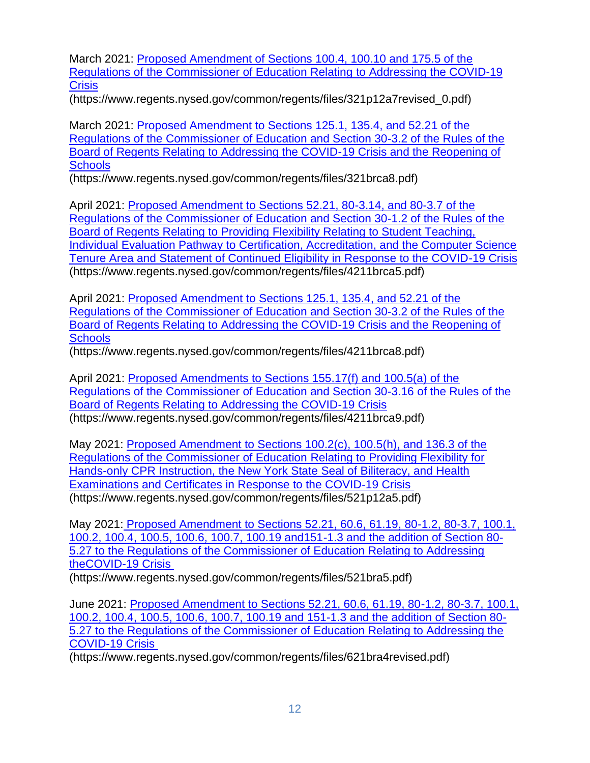March 2021: [Proposed Amendment of Sections 100.4, 100.10 and 175.5 of the](https://www.regents.nysed.gov/common/regents/files/321p12a7revised_0.pdf)  [Regulations of the Commissioner of Education Relating](https://www.regents.nysed.gov/common/regents/files/321p12a7revised_0.pdf) to Addressing the COVID-19 **[Crisis](https://www.regents.nysed.gov/common/regents/files/321p12a7revised_0.pdf)** 

(https://www.regents.nysed.gov/common/regents/files/321p12a7revised\_0.pdf)

March 2021: [Proposed Amendment to Sections 125.1, 135.4, and 52.21 of the](https://www.regents.nysed.gov/common/regents/files/321brca8.pdf)  [Regulations of the Commissioner of Education and Section 30-3.2 of the Rules of the](https://www.regents.nysed.gov/common/regents/files/321brca8.pdf)  [Board of Regents Relating to Addressing the COVID-19 Crisis and the Reopening of](https://www.regents.nysed.gov/common/regents/files/321brca8.pdf)  **[Schools](https://www.regents.nysed.gov/common/regents/files/321brca8.pdf)** 

(https://www.regents.nysed.gov/common/regents/files/321brca8.pdf)

April 2021: [Proposed Amendment to Sections 52.21, 80-3.14, and 80-3.7 of the](https://www.regents.nysed.gov/common/regents/files/4211brca5.pdf)  [Regulations of the Commissioner of Education and Section 30-1.2 of the Rules of the](https://www.regents.nysed.gov/common/regents/files/4211brca5.pdf)  [Board of Regents Relating to Providing Flexibility Relating to Student Teaching,](https://www.regents.nysed.gov/common/regents/files/4211brca5.pdf)  [Individual Evaluation Pathway to Certification, Accreditation, and the Computer Science](https://www.regents.nysed.gov/common/regents/files/4211brca5.pdf)  [Tenure Area and Statement of Continued Eligibility in Response to the COVID-19 Crisis](https://www.regents.nysed.gov/common/regents/files/4211brca5.pdf) (https://www.regents.nysed.gov/common/regents/files/4211brca5.pdf)

April 2021: [Proposed Amendment to Sections 125.1, 135.4, and 52.21 of the](https://www.regents.nysed.gov/common/regents/files/4211brca8.pdf)  [Regulations of the Commissioner of Education and Section 30-3.2 of the Rules of the](https://www.regents.nysed.gov/common/regents/files/4211brca8.pdf)  [Board of Regents Relating to Addressing the COVID-19 Crisis and the Reopening of](https://www.regents.nysed.gov/common/regents/files/4211brca8.pdf)  **[Schools](https://www.regents.nysed.gov/common/regents/files/4211brca8.pdf)** 

(https://www.regents.nysed.gov/common/regents/files/4211brca8.pdf)

April 2021: [Proposed Amendments to Sections 155.17\(f\) and 100.5\(a\) of the](https://www.regents.nysed.gov/common/regents/files/4211brca9.pdf)  [Regulations of the Commissioner of Education and Section 30-3.16 of the Rules of the](https://www.regents.nysed.gov/common/regents/files/4211brca9.pdf)  [Board of Regents Relating to Addressing the COVID-19 Crisis](https://www.regents.nysed.gov/common/regents/files/4211brca9.pdf) (https://www.regents.nysed.gov/common/regents/files/4211brca9.pdf)

May 2021: [Proposed Amendment to Sections 100.2\(c\), 100.5\(h\), and 136.3 of the](https://www.regents.nysed.gov/common/regents/files/521p12a5.pdf)  [Regulations of the Commissioner of Education Relating to Providing Flexibility for](https://www.regents.nysed.gov/common/regents/files/521p12a5.pdf)  [Hands-only CPR Instruction, the New York State Seal of Biliteracy, and Health](https://www.regents.nysed.gov/common/regents/files/521p12a5.pdf)  [Examinations and Certificates in Response to the COVID-19 Crisis](https://www.regents.nysed.gov/common/regents/files/521p12a5.pdf) (https://www.regents.nysed.gov/common/regents/files/521p12a5.pdf)

May 2021: [Proposed Amendment to Sections 52.21, 60.6, 61.19, 80-1.2, 80-3.7, 100.1,](https://www.regents.nysed.gov/common/regents/files/521bra5.pdf)  [100.2, 100.4, 100.5, 100.6, 100.7, 100.19 and151-1.3 and the addition of Section 80-](https://www.regents.nysed.gov/common/regents/files/521bra5.pdf) [5.27 to the Regulations of the Commissioner of Education Relating to Addressing](https://www.regents.nysed.gov/common/regents/files/521bra5.pdf)  [theCOVID-19 Crisis](https://www.regents.nysed.gov/common/regents/files/521bra5.pdf)

(https://www.regents.nysed.gov/common/regents/files/521bra5.pdf)

June 2021: [Proposed Amendment to Sections 52.21, 60.6, 61.19, 80-1.2, 80-3.7, 100.1,](https://www.regents.nysed.gov/common/regents/files/621bra4revised.pdf)  [100.2, 100.4, 100.5, 100.6, 100.7, 100.19 and 151-1.3 and the addition of Section 80-](https://www.regents.nysed.gov/common/regents/files/621bra4revised.pdf) [5.27 to the Regulations of the Commissioner of Education Relating to Addressing the](https://www.regents.nysed.gov/common/regents/files/621bra4revised.pdf)  [COVID-19 Crisis](https://www.regents.nysed.gov/common/regents/files/621bra4revised.pdf)

(https://www.regents.nysed.gov/common/regents/files/621bra4revised.pdf)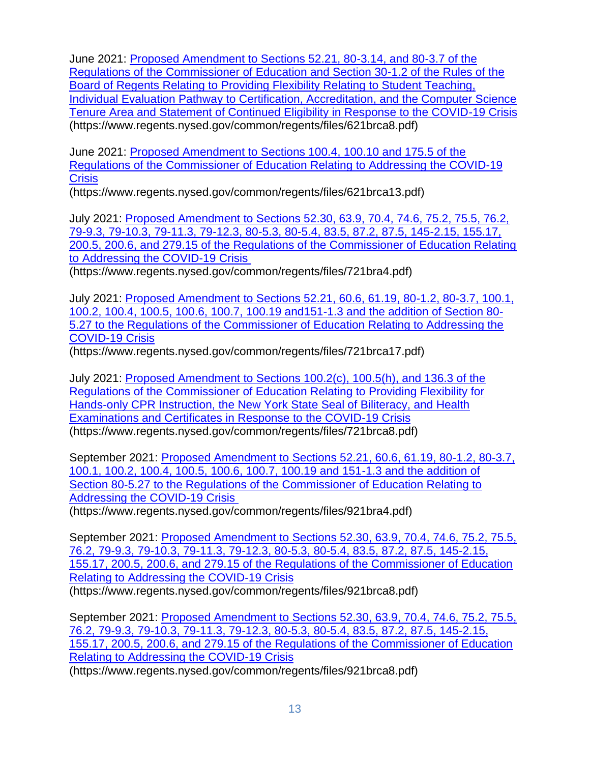June 2021: [Proposed Amendment to Sections 52.21, 80-3.14, and 80-3.7 of the](https://www.regents.nysed.gov/common/regents/files/621brca8.pdf)  [Regulations of the Commissioner of Education and Section 30-1.2 of the Rules of the](https://www.regents.nysed.gov/common/regents/files/621brca8.pdf)  [Board of Regents Relating to Providing Flexibility Relating to Student Teaching,](https://www.regents.nysed.gov/common/regents/files/621brca8.pdf)  [Individual Evaluation Pathway to Certification, Accreditation, and the Computer Science](https://www.regents.nysed.gov/common/regents/files/621brca8.pdf)  [Tenure Area and Statement of Continued Eligibility in Response to the COVID-19 Crisis](https://www.regents.nysed.gov/common/regents/files/621brca8.pdf) (https://www.regents.nysed.gov/common/regents/files/621brca8.pdf)

June 2021: [Proposed Amendment to Sections 100.4, 100.10 and 175.5 of the](https://www.regents.nysed.gov/common/regents/files/621brca13.pdf)  [Regulations of the Commissioner of Education Relating to Addressing the COVID-19](https://www.regents.nysed.gov/common/regents/files/621brca13.pdf)  **[Crisis](https://www.regents.nysed.gov/common/regents/files/621brca13.pdf)** 

(https://www.regents.nysed.gov/common/regents/files/621brca13.pdf)

July 2021: [Proposed Amendment to Sections 52.30, 63.9, 70.4, 74.6, 75.2, 75.5, 76.2,](https://www.regents.nysed.gov/common/regents/files/721bra4.pdf)  [79-9.3, 79-10.3, 79-11.3, 79-12.3, 80-5.3, 80-5.4, 83.5, 87.2, 87.5, 145-2.15, 155.17,](https://www.regents.nysed.gov/common/regents/files/721bra4.pdf)  [200.5, 200.6, and 279.15 of the Regulations of the Commissioner of Education Relating](https://www.regents.nysed.gov/common/regents/files/721bra4.pdf)  [to Addressing the COVID-19 Crisis](https://www.regents.nysed.gov/common/regents/files/721bra4.pdf)

(https://www.regents.nysed.gov/common/regents/files/721bra4.pdf)

July 2021: [Proposed Amendment to Sections 52.21, 60.6, 61.19, 80-1.2, 80-3.7, 100.1,](https://www.regents.nysed.gov/common/regents/files/721brca17.pdf)  [100.2, 100.4, 100.5, 100.6, 100.7, 100.19 and151-1.3 and the addition of Section 80-](https://www.regents.nysed.gov/common/regents/files/721brca17.pdf) [5.27 to the Regulations of the Commissioner of Education Relating to Addressing the](https://www.regents.nysed.gov/common/regents/files/721brca17.pdf)  [COVID-19 Crisis](https://www.regents.nysed.gov/common/regents/files/721brca17.pdf)

(https://www.regents.nysed.gov/common/regents/files/721brca17.pdf)

July 2021: [Proposed Amendment to Sections 100.2\(c\), 100.5\(h\), and 136.3 of the](https://www.regents.nysed.gov/common/regents/files/721brca8.pdf)  [Regulations of the Commissioner of Education Relating to Providing Flexibility for](https://www.regents.nysed.gov/common/regents/files/721brca8.pdf)  [Hands-only CPR Instruction, the New York State Seal of Biliteracy, and Health](https://www.regents.nysed.gov/common/regents/files/721brca8.pdf)  [Examinations and Certificates in Response to the COVID-19 Crisis](https://www.regents.nysed.gov/common/regents/files/721brca8.pdf) (https://www.regents.nysed.gov/common/regents/files/721brca8.pdf)

September 2021: [Proposed Amendment to Sections 52.21, 60.6, 61.19, 80-1.2, 80-3.7,](https://www.regents.nysed.gov/common/regents/files/921bra4.pdf)  [100.1, 100.2, 100.4, 100.5, 100.6, 100.7, 100.19 and 151-1.3 and the addition of](https://www.regents.nysed.gov/common/regents/files/921bra4.pdf)  [Section 80-5.27 to the Regulations of the Commissioner of Education Relating to](https://www.regents.nysed.gov/common/regents/files/921bra4.pdf)  [Addressing the COVID-19 Crisis](https://www.regents.nysed.gov/common/regents/files/921bra4.pdf)

(https://www.regents.nysed.gov/common/regents/files/921bra4.pdf)

September 2021: [Proposed Amendment to Sections 52.30, 63.9, 70.4, 74.6, 75.2, 75.5,](https://www.regents.nysed.gov/common/regents/files/921brca8.pdf)  [76.2, 79-9.3, 79-10.3, 79-11.3, 79-12.3, 80-5.3, 80-5.4, 83.5, 87.2, 87.5, 145-2.15,](https://www.regents.nysed.gov/common/regents/files/921brca8.pdf)  [155.17, 200.5, 200.6, and 279.15 of the Regulations of the Commissioner of Education](https://www.regents.nysed.gov/common/regents/files/921brca8.pdf)  [Relating to Addressing the COVID-19 Crisis](https://www.regents.nysed.gov/common/regents/files/921brca8.pdf) (https://www.regents.nysed.gov/common/regents/files/921brca8.pdf)

September 2021: [Proposed Amendment to Sections 52.30, 63.9, 70.4, 74.6, 75.2, 75.5,](https://www.regents.nysed.gov/common/regents/files/921brca8.pdf)  [76.2, 79-9.3, 79-10.3, 79-11.3, 79-12.3, 80-5.3, 80-5.4, 83.5, 87.2, 87.5, 145-2.15,](https://www.regents.nysed.gov/common/regents/files/921brca8.pdf)  [155.17, 200.5, 200.6, and 279.15 of the Regulations of the Commissioner of Education](https://www.regents.nysed.gov/common/regents/files/921brca8.pdf)  [Relating to Addressing the COVID-19 Crisis](https://www.regents.nysed.gov/common/regents/files/921brca8.pdf)

(https://www.regents.nysed.gov/common/regents/files/921brca8.pdf)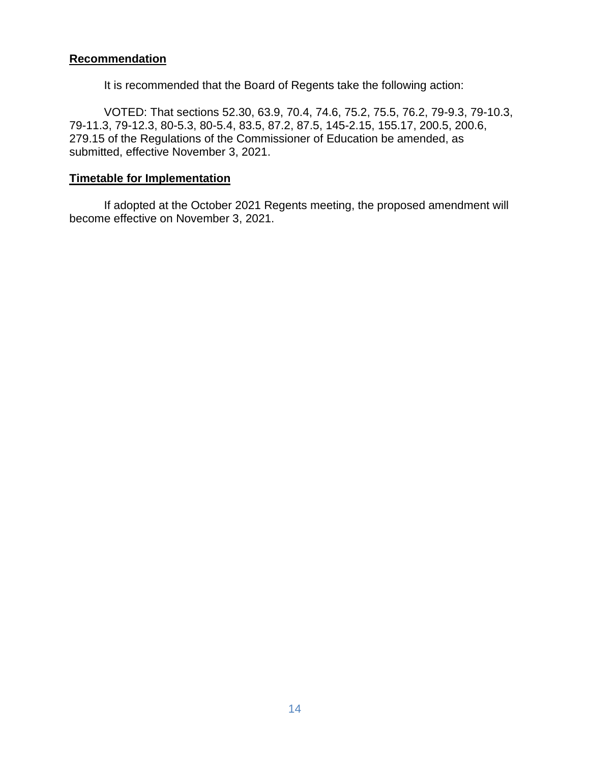## **Recommendation**

It is recommended that the Board of Regents take the following action:

VOTED: That sections 52.30, 63.9, 70.4, 74.6, 75.2, 75.5, 76.2, 79-9.3, 79-10.3, 79-11.3, 79-12.3, 80-5.3, 80-5.4, 83.5, 87.2, 87.5, 145-2.15, 155.17, 200.5, 200.6, 279.15 of the Regulations of the Commissioner of Education be amended, as submitted, effective November 3, 2021.

## **Timetable for Implementation**

If adopted at the October 2021 Regents meeting, the proposed amendment will become effective on November 3, 2021.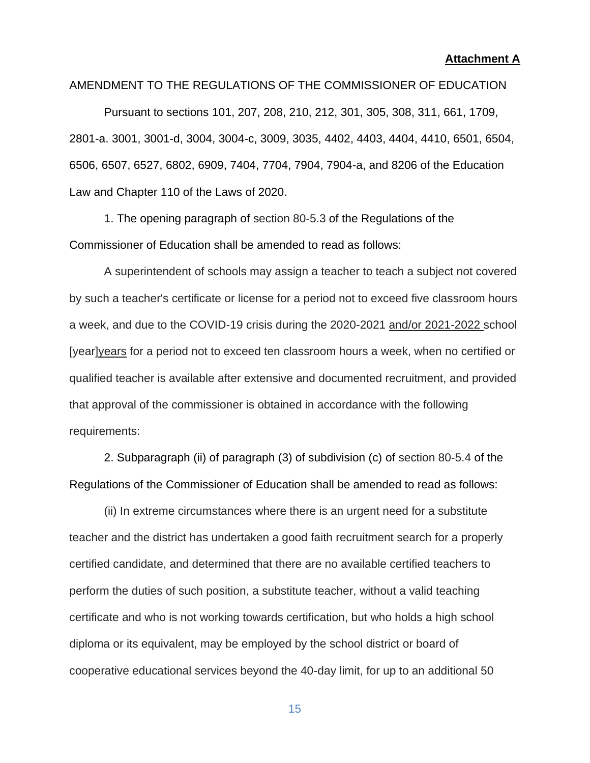#### **Attachment A**

### AMENDMENT TO THE REGULATIONS OF THE COMMISSIONER OF EDUCATION

Pursuant to sections 101, 207, 208, 210, 212, 301, 305, 308, 311, 661, 1709, 2801-a. 3001, 3001-d, 3004, 3004-c, 3009, 3035, 4402, 4403, 4404, 4410, 6501, 6504, 6506, 6507, 6527, 6802, 6909, 7404, 7704, 7904, 7904-a, and 8206 of the Education Law and Chapter 110 of the Laws of 2020.

1. The opening paragraph of section 80-5.3 of the Regulations of the Commissioner of Education shall be amended to read as follows:

A superintendent of schools may assign a teacher to teach a subject not covered by such a teacher's certificate or license for a period not to exceed five classroom hours a week, and due to the COVID-19 crisis during the 2020-2021 and/or 2021-2022 school [year]years for a period not to exceed ten classroom hours a week, when no certified or qualified teacher is available after extensive and documented recruitment, and provided that approval of the commissioner is obtained in accordance with the following requirements:

2. Subparagraph (ii) of paragraph (3) of subdivision (c) of section 80-5.4 of the Regulations of the Commissioner of Education shall be amended to read as follows:

(ii) In extreme circumstances where there is an urgent need for a substitute teacher and the district has undertaken a good faith recruitment search for a properly certified candidate, and determined that there are no available certified teachers to perform the duties of such position, a substitute teacher, without a valid teaching certificate and who is not working towards certification, but who holds a high school diploma or its equivalent, may be employed by the school district or board of cooperative educational services beyond the 40-day limit, for up to an additional 50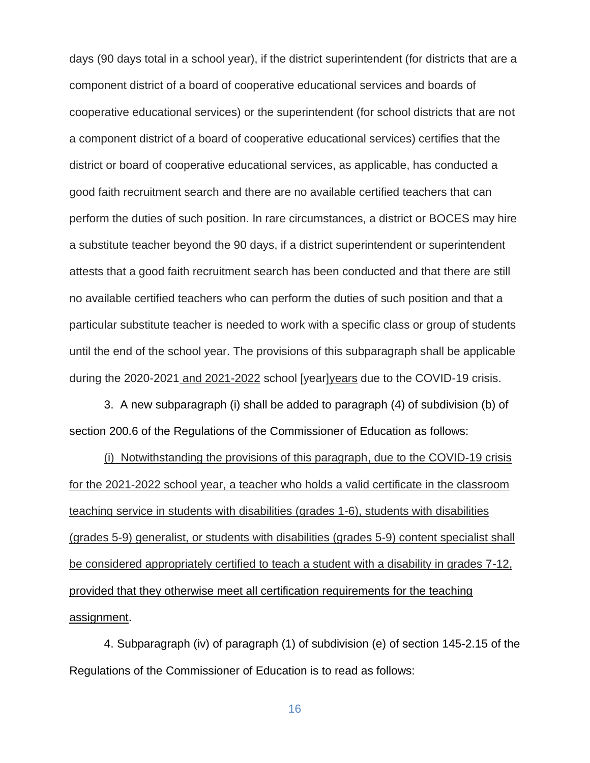days (90 days total in a school year), if the district superintendent (for districts that are a component district of a board of cooperative educational services and boards of cooperative educational services) or the superintendent (for school districts that are not a component district of a board of cooperative educational services) certifies that the district or board of cooperative educational services, as applicable, has conducted a good faith recruitment search and there are no available certified teachers that can perform the duties of such position. In rare circumstances, a district or BOCES may hire a substitute teacher beyond the 90 days, if a district superintendent or superintendent attests that a good faith recruitment search has been conducted and that there are still no available certified teachers who can perform the duties of such position and that a particular substitute teacher is needed to work with a specific class or group of students until the end of the school year. The provisions of this subparagraph shall be applicable during the 2020-2021 and 2021-2022 school [year]years due to the COVID-19 crisis.

3. A new subparagraph (i) shall be added to paragraph (4) of subdivision (b) of section 200.6 of the Regulations of the Commissioner of Education as follows:

(i) Notwithstanding the provisions of this paragraph, due to the COVID-19 crisis for the 2021-2022 school year, a teacher who holds a valid certificate in the classroom teaching service in students with disabilities (grades 1-6), students with disabilities (grades 5-9) generalist, or students with disabilities (grades 5-9) content specialist shall be considered appropriately certified to teach a student with a disability in grades 7-12, provided that they otherwise meet all certification requirements for the teaching assignment.

4. Subparagraph (iv) of paragraph (1) of subdivision (e) of section 145-2.15 of the Regulations of the Commissioner of Education is to read as follows: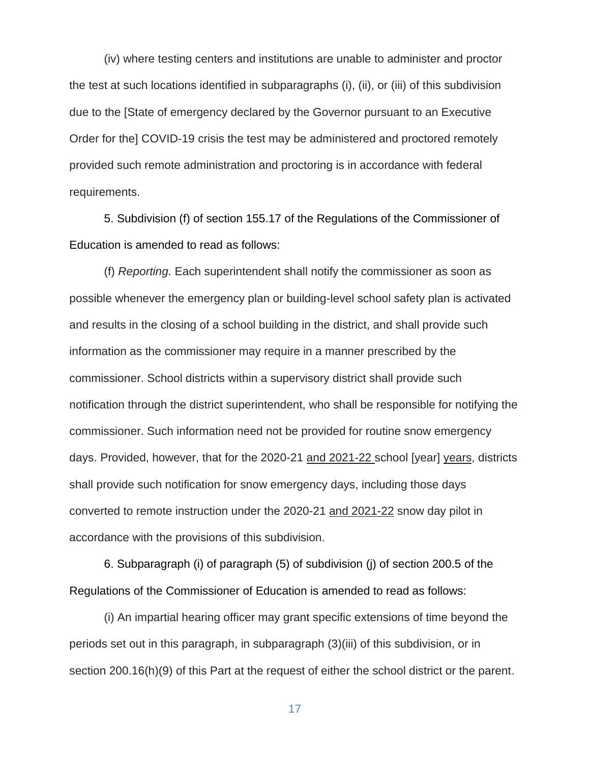(iv) where testing centers and institutions are unable to administer and proctor the test at such locations identified in subparagraphs (i), (ii), or (iii) of this subdivision due to the [State of emergency declared by the Governor pursuant to an Executive Order for the] COVID-19 crisis the test may be administered and proctored remotely provided such remote administration and proctoring is in accordance with federal requirements.

5. Subdivision (f) of section 155.17 of the Regulations of the Commissioner of Education is amended to read as follows:

(f) *Reporting.* Each superintendent shall notify the commissioner as soon as possible whenever the emergency plan or building-level school safety plan is activated and results in the closing of a school building in the district, and shall provide such information as the commissioner may require in a manner prescribed by the commissioner. School districts within a supervisory district shall provide such notification through the district superintendent, who shall be responsible for notifying the commissioner. Such information need not be provided for routine snow emergency days. Provided, however, that for the 2020-21 and 2021-22 school [year] years, districts shall provide such notification for snow emergency days, including those days converted to remote instruction under the 2020-21 and 2021-22 snow day pilot in accordance with the provisions of this subdivision.

6. Subparagraph (i) of paragraph (5) of subdivision (j) of section 200.5 of the Regulations of the Commissioner of Education is amended to read as follows:

(i) An impartial hearing officer may grant specific extensions of time beyond the periods set out in this paragraph, in subparagraph (3)(iii) of this subdivision, or in section 200.16(h)(9) of this Part at the request of either the school district or the parent.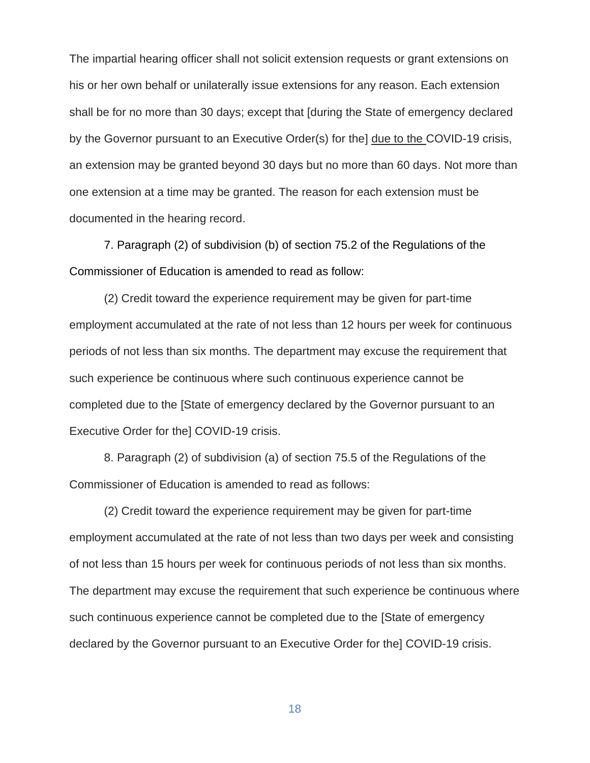The impartial hearing officer shall not solicit extension requests or grant extensions on his or her own behalf or unilaterally issue extensions for any reason. Each extension shall be for no more than 30 days; except that [during the State of emergency declared by the Governor pursuant to an Executive Order(s) for the] due to the COVID-19 crisis, an extension may be granted beyond 30 days but no more than 60 days. Not more than one extension at a time may be granted. The reason for each extension must be documented in the hearing record.

7. Paragraph (2) of subdivision (b) of section 75.2 of the Regulations of the Commissioner of Education is amended to read as follow:

(2) Credit toward the experience requirement may be given for part-time employment accumulated at the rate of not less than 12 hours per week for continuous periods of not less than six months. The department may excuse the requirement that such experience be continuous where such continuous experience cannot be completed due to the [State of emergency declared by the Governor pursuant to an Executive Order for the] COVID-19 crisis.

8. Paragraph (2) of subdivision (a) of section 75.5 of the Regulations of the Commissioner of Education is amended to read as follows:

(2) Credit toward the experience requirement may be given for part-time employment accumulated at the rate of not less than two days per week and consisting of not less than 15 hours per week for continuous periods of not less than six months. The department may excuse the requirement that such experience be continuous where such continuous experience cannot be completed due to the [State of emergency declared by the Governor pursuant to an Executive Order for the] COVID-19 crisis.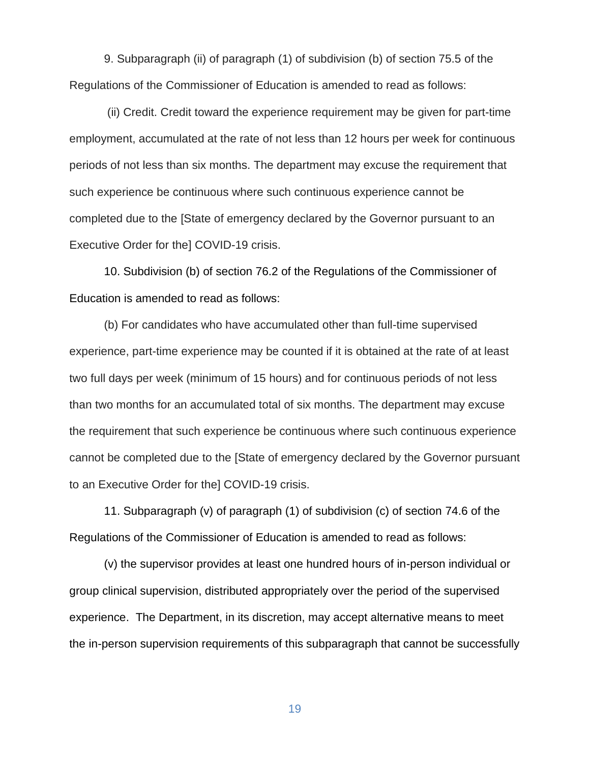9. Subparagraph (ii) of paragraph (1) of subdivision (b) of section 75.5 of the Regulations of the Commissioner of Education is amended to read as follows:

(ii) Credit. Credit toward the experience requirement may be given for part-time employment, accumulated at the rate of not less than 12 hours per week for continuous periods of not less than six months. The department may excuse the requirement that such experience be continuous where such continuous experience cannot be completed due to the [State of emergency declared by the Governor pursuant to an Executive Order for the] COVID-19 crisis.

10. Subdivision (b) of section 76.2 of the Regulations of the Commissioner of Education is amended to read as follows:

(b) For candidates who have accumulated other than full-time supervised experience, part-time experience may be counted if it is obtained at the rate of at least two full days per week (minimum of 15 hours) and for continuous periods of not less than two months for an accumulated total of six months. The department may excuse the requirement that such experience be continuous where such continuous experience cannot be completed due to the [State of emergency declared by the Governor pursuant to an Executive Order for the] COVID-19 crisis.

11. Subparagraph (v) of paragraph (1) of subdivision (c) of section 74.6 of the Regulations of the Commissioner of Education is amended to read as follows:

(v) the supervisor provides at least one hundred hours of in-person individual or group clinical supervision, distributed appropriately over the period of the supervised experience. The Department, in its discretion, may accept alternative means to meet the in-person supervision requirements of this subparagraph that cannot be successfully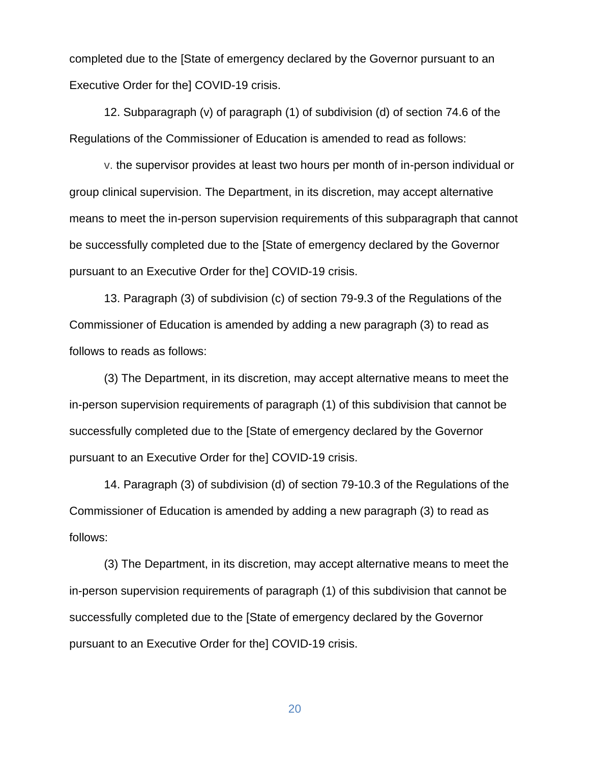completed due to the [State of emergency declared by the Governor pursuant to an Executive Order for the] COVID-19 crisis.

12. Subparagraph (v) of paragraph (1) of subdivision (d) of section 74.6 of the Regulations of the Commissioner of Education is amended to read as follows:

v. the supervisor provides at least two hours per month of in-person individual or group clinical supervision. The Department, in its discretion, may accept alternative means to meet the in-person supervision requirements of this subparagraph that cannot be successfully completed due to the [State of emergency declared by the Governor pursuant to an Executive Order for the] COVID-19 crisis.

13. Paragraph (3) of subdivision (c) of section 79-9.3 of the Regulations of the Commissioner of Education is amended by adding a new paragraph (3) to read as follows to reads as follows:

(3) The Department, in its discretion, may accept alternative means to meet the in-person supervision requirements of paragraph (1) of this subdivision that cannot be successfully completed due to the [State of emergency declared by the Governor pursuant to an Executive Order for the] COVID-19 crisis.

14. Paragraph (3) of subdivision (d) of section 79-10.3 of the Regulations of the Commissioner of Education is amended by adding a new paragraph (3) to read as follows:

(3) The Department, in its discretion, may accept alternative means to meet the in-person supervision requirements of paragraph (1) of this subdivision that cannot be successfully completed due to the [State of emergency declared by the Governor pursuant to an Executive Order for the] COVID-19 crisis.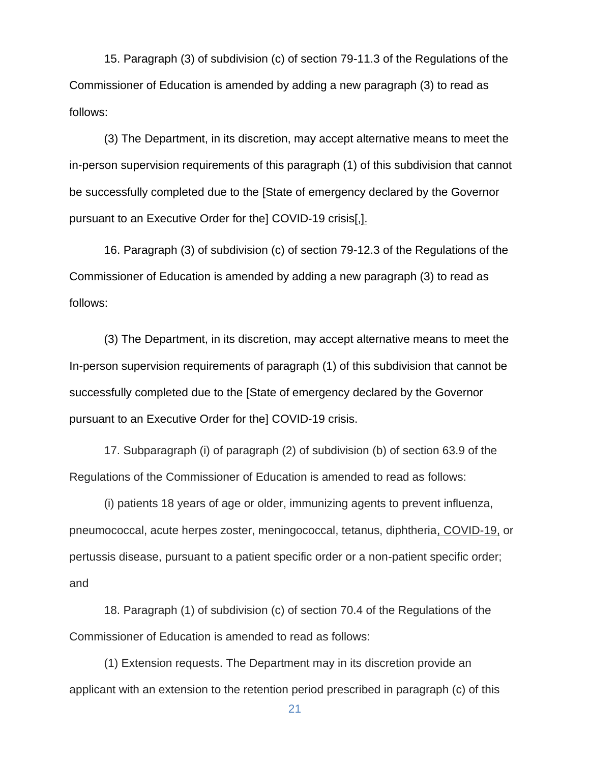15. Paragraph (3) of subdivision (c) of section 79-11.3 of the Regulations of the Commissioner of Education is amended by adding a new paragraph (3) to read as follows:

(3) The Department, in its discretion, may accept alternative means to meet the in-person supervision requirements of this paragraph (1) of this subdivision that cannot be successfully completed due to the [State of emergency declared by the Governor pursuant to an Executive Order for the] COVID-19 crisis[,].

16. Paragraph (3) of subdivision (c) of section 79-12.3 of the Regulations of the Commissioner of Education is amended by adding a new paragraph (3) to read as follows:

(3) The Department, in its discretion, may accept alternative means to meet the In-person supervision requirements of paragraph (1) of this subdivision that cannot be successfully completed due to the [State of emergency declared by the Governor pursuant to an Executive Order for the] COVID-19 crisis.

17. Subparagraph (i) of paragraph (2) of subdivision (b) of section 63.9 of the Regulations of the Commissioner of Education is amended to read as follows:

(i) patients 18 years of age or older, immunizing agents to prevent influenza, pneumococcal, acute herpes zoster, meningococcal, tetanus, diphtheria, COVID-19, or pertussis disease, pursuant to a patient specific order or a non-patient specific order; and

18. Paragraph (1) of subdivision (c) of section 70.4 of the Regulations of the Commissioner of Education is amended to read as follows:

(1) Extension requests. The Department may in its discretion provide an applicant with an extension to the retention period prescribed in paragraph (c) of this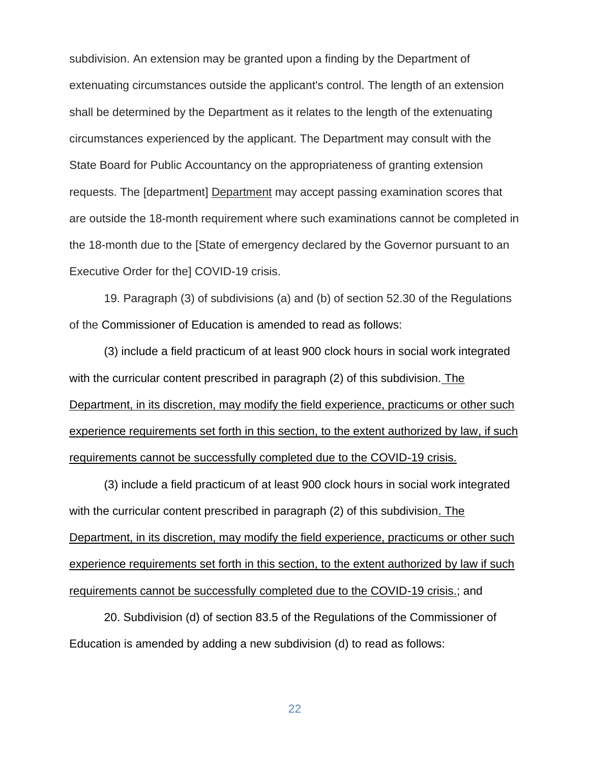subdivision. An extension may be granted upon a finding by the Department of extenuating circumstances outside the applicant's control. The length of an extension shall be determined by the Department as it relates to the length of the extenuating circumstances experienced by the applicant. The Department may consult with the State Board for Public Accountancy on the appropriateness of granting extension requests. The [department] Department may accept passing examination scores that are outside the 18-month requirement where such examinations cannot be completed in the 18-month due to the [State of emergency declared by the Governor pursuant to an Executive Order for the] COVID-19 crisis.

19. Paragraph (3) of subdivisions (a) and (b) of section 52.30 of the Regulations of the Commissioner of Education is amended to read as follows:

(3) include a field practicum of at least 900 clock hours in social work integrated with the curricular content prescribed in paragraph (2) of this subdivision. The Department, in its discretion, may modify the field experience, practicums or other such experience requirements set forth in this section, to the extent authorized by law, if such requirements cannot be successfully completed due to the COVID-19 crisis.

(3) include a field practicum of at least 900 clock hours in social work integrated with the curricular content prescribed in paragraph (2) of this subdivision. The Department, in its discretion, may modify the field experience, practicums or other such experience requirements set forth in this section, to the extent authorized by law if such requirements cannot be successfully completed due to the COVID-19 crisis.; and

20. Subdivision (d) of section 83.5 of the Regulations of the Commissioner of Education is amended by adding a new subdivision (d) to read as follows: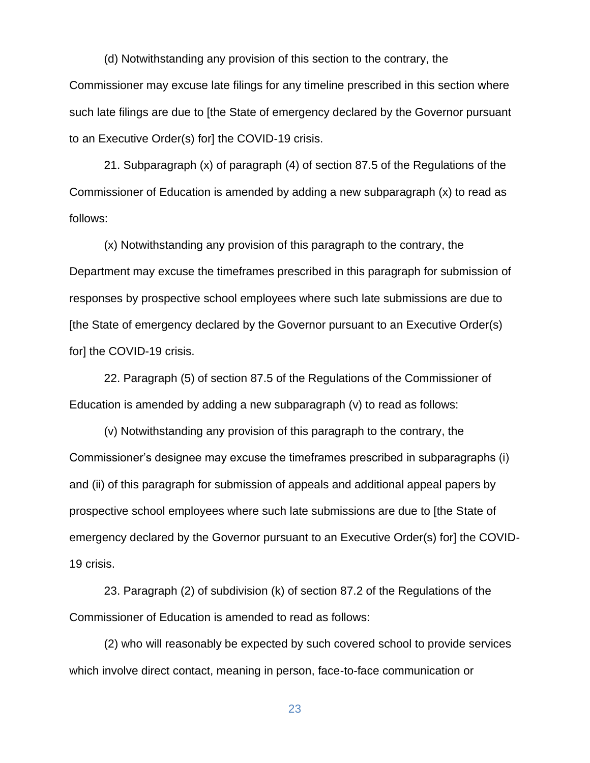(d) Notwithstanding any provision of this section to the contrary, the Commissioner may excuse late filings for any timeline prescribed in this section where such late filings are due to [the State of emergency declared by the Governor pursuant to an Executive Order(s) for] the COVID-19 crisis.

21. Subparagraph (x) of paragraph (4) of section 87.5 of the Regulations of the Commissioner of Education is amended by adding a new subparagraph (x) to read as follows:

(x) Notwithstanding any provision of this paragraph to the contrary, the Department may excuse the timeframes prescribed in this paragraph for submission of responses by prospective school employees where such late submissions are due to [the State of emergency declared by the Governor pursuant to an Executive Order(s) for] the COVID-19 crisis.

22. Paragraph (5) of section 87.5 of the Regulations of the Commissioner of Education is amended by adding a new subparagraph (v) to read as follows:

(v) Notwithstanding any provision of this paragraph to the contrary, the Commissioner's designee may excuse the timeframes prescribed in subparagraphs (i) and (ii) of this paragraph for submission of appeals and additional appeal papers by prospective school employees where such late submissions are due to [the State of emergency declared by the Governor pursuant to an Executive Order(s) for] the COVID-19 crisis.

23. Paragraph (2) of subdivision (k) of section 87.2 of the Regulations of the Commissioner of Education is amended to read as follows:

(2) who will reasonably be expected by such covered school to provide services which involve direct contact, meaning in person, face-to-face communication or